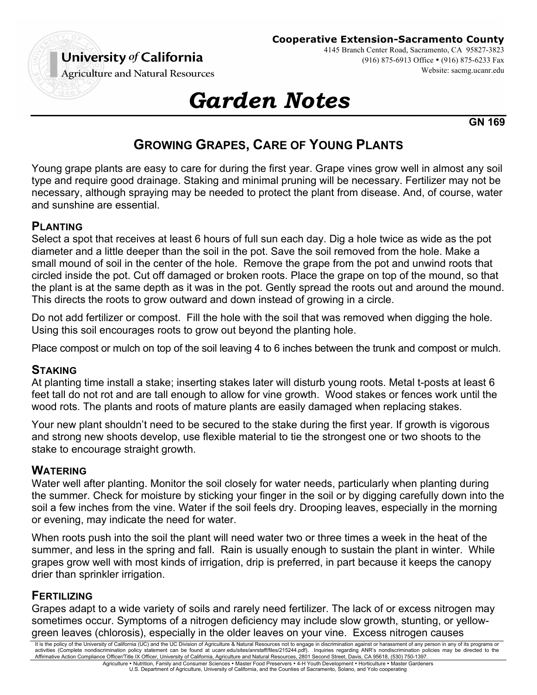

**Cooperative Extension-Sacramento County**

4145 Branch Center Road, Sacramento, CA 95827-3823 (916) 875-6913 Office • (916) 875-6233 Fax Website: sacmg.ucanr.edu

**Agriculture and Natural Resources** 

# *Garden Notes*

**GN 169**

# **GROWING GRAPES, CARE OF YOUNG PLANTS**

Young grape plants are easy to care for during the first year. Grape vines grow well in almost any soil type and require good drainage. Staking and minimal pruning will be necessary. Fertilizer may not be necessary, although spraying may be needed to protect the plant from disease. And, of course, water and sunshine are essential.

#### **PLANTING**

Select a spot that receives at least 6 hours of full sun each day. Dig a hole twice as wide as the pot diameter and a little deeper than the soil in the pot. Save the soil removed from the hole. Make a small mound of soil in the center of the hole. Remove the grape from the pot and unwind roots that circled inside the pot. Cut off damaged or broken roots. Place the grape on top of the mound, so that the plant is at the same depth as it was in the pot. Gently spread the roots out and around the mound. This directs the roots to grow outward and down instead of growing in a circle.

Do not add fertilizer or compost. Fill the hole with the soil that was removed when digging the hole. Using this soil encourages roots to grow out beyond the planting hole.

Place compost or mulch on top of the soil leaving 4 to 6 inches between the trunk and compost or mulch.

#### **STAKING**

At planting time install a stake; inserting stakes later will disturb young roots. Metal t-posts at least 6 feet tall do not rot and are tall enough to allow for vine growth. Wood stakes or fences work until the wood rots. The plants and roots of mature plants are easily damaged when replacing stakes.

Your new plant shouldn't need to be secured to the stake during the first year. If growth is vigorous and strong new shoots develop, use flexible material to tie the strongest one or two shoots to the stake to encourage straight growth.

#### **WATERING**

Water well after planting. Monitor the soil closely for water needs, particularly when planting during the summer. Check for moisture by sticking your finger in the soil or by digging carefully down into the soil a few inches from the vine. Water if the soil feels dry. Drooping leaves, especially in the morning or evening, may indicate the need for water.

When roots push into the soil the plant will need water two or three times a week in the heat of the summer, and less in the spring and fall. Rain is usually enough to sustain the plant in winter. While grapes grow well with most kinds of irrigation, drip is preferred, in part because it keeps the canopy drier than sprinkler irrigation.

# **FERTILIZING**

Grapes adapt to a wide variety of soils and rarely need fertilizer. The lack of or excess nitrogen may sometimes occur. Symptoms of a nitrogen deficiency may include slow growth, stunting, or yellowgreen leaves (chlorosis), especially in the older leaves on your vine. Excess nitrogen causes

It is the policy of the University of California (UC) and the UC Division of Agriculture & Natural Resources not to engage in discrimination against or harassment of any person in any of its programs or activities (Complete nondiscrimination policy statement can be found at ucanr.edu/sites/anrstaff/files/215244.pdf). Inquiries regarding ANR's nondiscrimination policies may be directed to the<br>Affirmative Action Compliance Agriculture • Nutrition, Family and Consumer Sciences • Master Food Preservers • 4-H Youth Development • Horticulture • Master Gardeners

U.S. Department of Agriculture, University of California, and the Counties of Sacramento, Solano, and Yolo cooperating